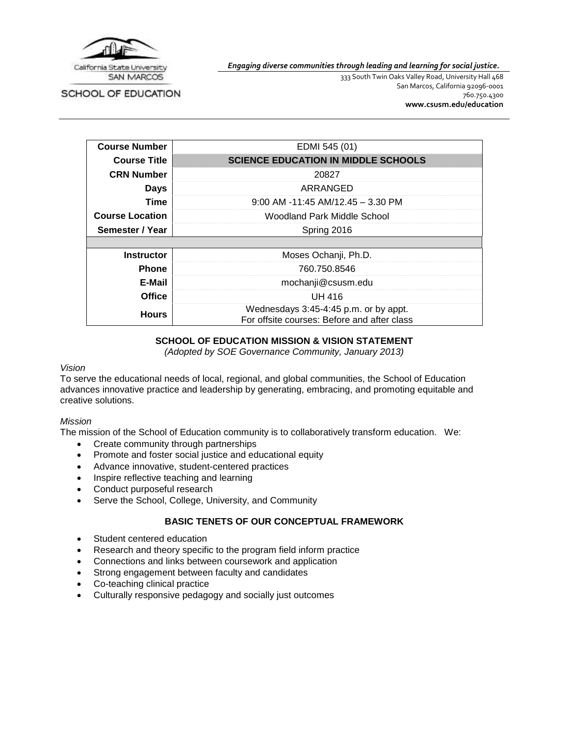

*Engaging diverse communities through leading and learning for social justice.*

SCHOOL OF EDUCATION

333 South Twin Oaks Valley Road, University Hall 468 San Marcos, California 92096-0001 760.750.4300 **[www.csusm.edu/education](http://www.csusm.edu/education)**

| <b>Course Number</b>   | EDMI 545 (01)                                                                        |  |
|------------------------|--------------------------------------------------------------------------------------|--|
| <b>Course Title</b>    | <b>SCIENCE EDUCATION IN MIDDLE SCHOOLS</b>                                           |  |
| <b>CRN Number</b>      | 20827                                                                                |  |
| <b>Days</b>            | ARRANGED                                                                             |  |
| Time                   | $9:00$ AM -11:45 AM/12.45 - 3.30 PM                                                  |  |
| <b>Course Location</b> | Woodland Park Middle School                                                          |  |
| Semester / Year        | Spring 2016                                                                          |  |
|                        |                                                                                      |  |
| <b>Instructor</b>      | Moses Ochanji, Ph.D.                                                                 |  |
| <b>Phone</b>           | 760.750.8546                                                                         |  |
| E-Mail                 | mochanji@csusm.edu                                                                   |  |
| <b>Office</b>          | <b>UH 416</b>                                                                        |  |
| <b>Hours</b>           | Wednesdays 3:45-4:45 p.m. or by appt.<br>For offsite courses: Before and after class |  |

## **SCHOOL OF EDUCATION MISSION & VISION STATEMENT**

*(Adopted by SOE Governance Community, January 2013)*

#### *Vision*

To serve the educational needs of local, regional, and global communities, the School of Education advances innovative practice and leadership by generating, embracing, and promoting equitable and creative solutions.

#### *Mission*

The mission of the School of Education community is to collaboratively transform education. We:

- Create community through partnerships
- Promote and foster social justice and educational equity
- Advance innovative, student-centered practices
- Inspire reflective teaching and learning
- Conduct purposeful research
- Serve the School, College, University, and Community

## **BASIC TENETS OF OUR CONCEPTUAL FRAMEWORK**

- Student centered education
- Research and theory specific to the program field inform practice
- Connections and links between coursework and application
- Strong engagement between faculty and candidates
- Co-teaching clinical practice
- Culturally responsive pedagogy and socially just outcomes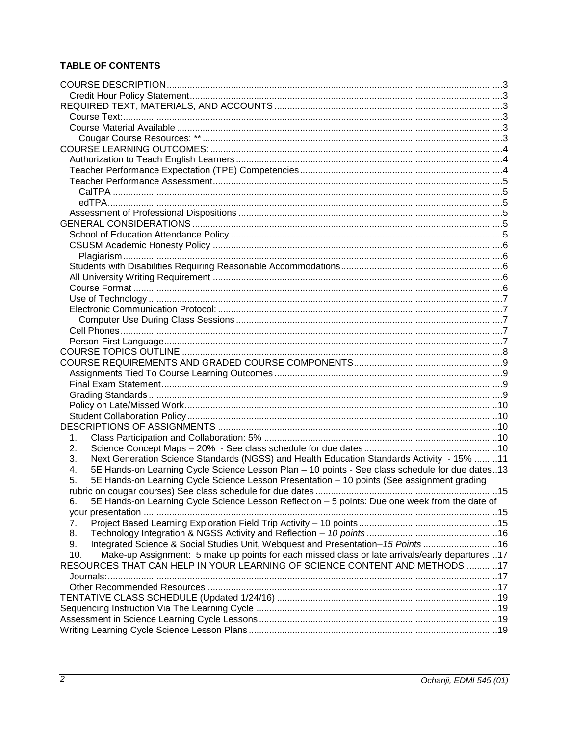## **TABLE OF CONTENTS**

| 1.                                                                                                    |  |  |  |
|-------------------------------------------------------------------------------------------------------|--|--|--|
| 2.                                                                                                    |  |  |  |
| Next Generation Science Standards (NGSS) and Health Education Standards Activity - 15% 11<br>3.       |  |  |  |
| 5E Hands-on Learning Cycle Science Lesson Plan - 10 points - See class schedule for due dates13<br>4. |  |  |  |
| 5E Hands-on Learning Cycle Science Lesson Presentation - 10 points (See assignment grading<br>5.      |  |  |  |
| 15                                                                                                    |  |  |  |
| 5E Hands-on Learning Cycle Science Lesson Reflection - 5 points: Due one week from the date of<br>6.  |  |  |  |
|                                                                                                       |  |  |  |
| 7.                                                                                                    |  |  |  |
| 8.                                                                                                    |  |  |  |
| Integrated Science & Social Studies Unit, Webquest and Presentation-15 Points 16<br>9.                |  |  |  |
| Make-up Assignment: 5 make up points for each missed class or late arrivals/early departures17<br>10. |  |  |  |
| RESOURCES THAT CAN HELP IN YOUR LEARNING OF SCIENCE CONTENT AND METHODS 17                            |  |  |  |
|                                                                                                       |  |  |  |
|                                                                                                       |  |  |  |
|                                                                                                       |  |  |  |
|                                                                                                       |  |  |  |
|                                                                                                       |  |  |  |
|                                                                                                       |  |  |  |
|                                                                                                       |  |  |  |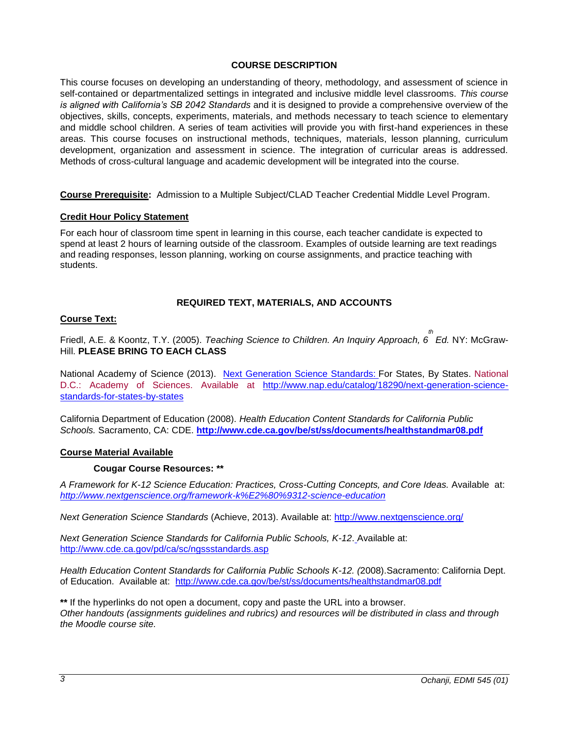## **COURSE DESCRIPTION**

<span id="page-2-0"></span>This course focuses on developing an understanding of theory, methodology, and assessment of science in self-contained or departmentalized settings in integrated and inclusive middle level classrooms. *This course is aligned with California's SB 2042 Standards* and it is designed to provide a comprehensive overview of the objectives, skills, concepts, experiments, materials, and methods necessary to teach science to elementary and middle school children. A series of team activities will provide you with first-hand experiences in these areas. This course focuses on instructional methods, techniques, materials, lesson planning, curriculum development, organization and assessment in science. The integration of curricular areas is addressed. Methods of cross-cultural language and academic development will be integrated into the course.

**Course Prerequisite:** Admission to a Multiple Subject/CLAD Teacher Credential Middle Level Program.

## <span id="page-2-1"></span>**Credit Hour Policy Statement**

For each hour of classroom time spent in learning in this course, each teacher candidate is expected to spend at least 2 hours of learning outside of the classroom. Examples of outside learning are text readings and reading responses, lesson planning, working on course assignments, and practice teaching with students.

## **REQUIRED TEXT, MATERIALS, AND ACCOUNTS**

#### <span id="page-2-3"></span><span id="page-2-2"></span>**Course Text:**

Friedl, A.E. & Koontz, T.Y. (2005). *Teaching Science to Children. An Inquiry Approach, 6 th Ed.* NY: McGraw-Hill. **PLEASE BRING TO EACH CLASS**

National Academy of Science (2013). [Next Generation Science Standards:](http://www.nap.edu/openbook.php?record_id=18290) For States, By States. National D.C.: Academy of Sciences. Available at [http://www.nap.edu/catalog/18290/next-generation-science](http://www.nap.edu/catalog/18290/next-generation-science-standards-for-states-by-states)[standards-for-states-by-states](http://www.nap.edu/catalog/18290/next-generation-science-standards-for-states-by-states)

California Department of Education (2008). *Health Education Content Standards for California Public Schools.* Sacramento, CA: CDE. **<http://www.cde.ca.gov/be/st/ss/documents/healthstandmar08.pdf>**

#### <span id="page-2-5"></span><span id="page-2-4"></span>**Course Material Available**

#### **Cougar Course Resources: \*\***

A Framework for K-12 Science Education: Practices, Cross-Cutting Concepts, and Core Ideas. Available at: *<http://www.nextgenscience.org/framework-k%E2%80%9312-science-education>*

*Next Generation Science Standards* (Achieve, 2013). Available at:<http://www.nextgenscience.org/>

*Next Generation Science Standards for California Public Schools, K-12*. Available at: <http://www.cde.ca.gov/pd/ca/sc/ngssstandards.asp>

*Health Education Content Standards for California Public Schools K-12. (*2008).Sacramento: California Dept. of Education. Available at: <http://www.cde.ca.gov/be/st/ss/documents/healthstandmar08.pdf>

**\*\*** If the hyperlinks do not open a document, copy and paste the URL into a browser. *Other handouts (assignments guidelines and rubrics) and resources will be distributed in class and through the Moodle course site.*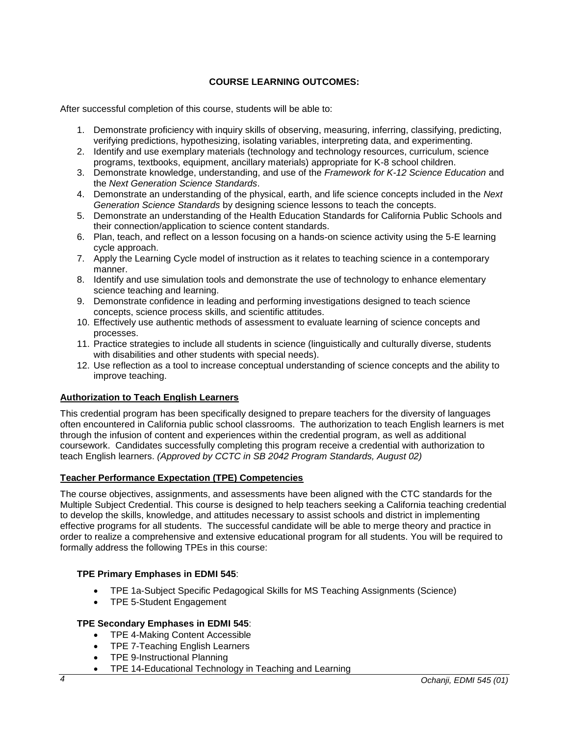## **COURSE LEARNING OUTCOMES:**

<span id="page-3-0"></span>After successful completion of this course, students will be able to:

- 1. Demonstrate proficiency with inquiry skills of observing, measuring, inferring, classifying, predicting, verifying predictions, hypothesizing, isolating variables, interpreting data, and experimenting.
- 2. Identify and use exemplary materials (technology and technology resources, curriculum, science programs, textbooks, equipment, ancillary materials) appropriate for K-8 school children.
- 3. Demonstrate knowledge, understanding, and use of the *Framework for K-12 Science Education* and the *Next Generation Science Standards*.
- 4. Demonstrate an understanding of the physical, earth, and life science concepts included in the *Next Generation Science Standards* by designing science lessons to teach the concepts.
- 5. Demonstrate an understanding of the Health Education Standards for California Public Schools and their connection/application to science content standards.
- 6. Plan, teach, and reflect on a lesson focusing on a hands-on science activity using the 5-E learning cycle approach.
- 7. Apply the Learning Cycle model of instruction as it relates to teaching science in a contemporary manner.
- 8. Identify and use simulation tools and demonstrate the use of technology to enhance elementary science teaching and learning.
- 9. Demonstrate confidence in leading and performing investigations designed to teach science concepts, science process skills, and scientific attitudes.
- 10. Effectively use authentic methods of assessment to evaluate learning of science concepts and processes.
- 11. Practice strategies to include all students in science (linguistically and culturally diverse, students with disabilities and other students with special needs).
- 12. Use reflection as a tool to increase conceptual understanding of science concepts and the ability to improve teaching.

## <span id="page-3-1"></span>**Authorization to Teach English Learners**

This credential program has been specifically designed to prepare teachers for the diversity of languages often encountered in California public school classrooms. The authorization to teach English learners is met through the infusion of content and experiences within the credential program, as well as additional coursework. Candidates successfully completing this program receive a credential with authorization to teach English learners. *(Approved by CCTC in SB 2042 Program Standards, August 02)*

## <span id="page-3-2"></span>**Teacher Performance Expectation (TPE) Competencies**

The course objectives, assignments, and assessments have been aligned with the CTC standards for the Multiple Subject Credential. This course is designed to help teachers seeking a California teaching credential to develop the skills, knowledge, and attitudes necessary to assist schools and district in implementing effective programs for all students. The successful candidate will be able to merge theory and practice in order to realize a comprehensive and extensive educational program for all students. You will be required to formally address the following TPEs in this course:

## **TPE Primary Emphases in EDMI 545**:

- TPE 1a-Subject Specific Pedagogical Skills for MS Teaching Assignments (Science)
- TPE 5-Student Engagement

## **TPE Secondary Emphases in EDMI 545**:

- TPE 4-Making Content Accessible
- TPE 7-Teaching English Learners
- TPE 9-Instructional Planning
- TPE 14-Educational Technology in Teaching and Learning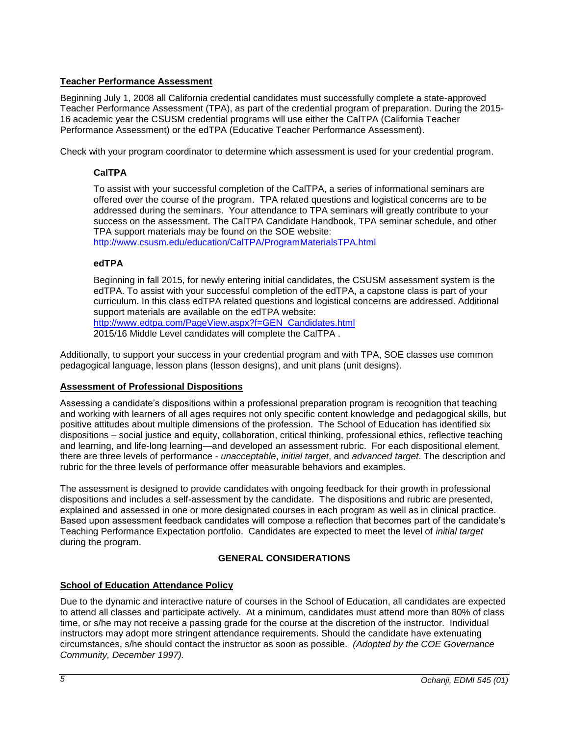## <span id="page-4-0"></span>**Teacher Performance Assessment**

Beginning July 1, 2008 all California credential candidates must successfully complete a state-approved Teacher Performance Assessment (TPA), as part of the credential program of preparation. During the 2015- 16 academic year the CSUSM credential programs will use either the CalTPA (California Teacher Performance Assessment) or the edTPA (Educative Teacher Performance Assessment).

<span id="page-4-1"></span>Check with your program coordinator to determine which assessment is used for your credential program.

## **CalTPA**

To assist with your successful completion of the CalTPA, a series of informational seminars are offered over the course of the program. TPA related questions and logistical concerns are to be addressed during the seminars. Your attendance to TPA seminars will greatly contribute to your success on the assessment. The CalTPA Candidate Handbook, TPA seminar schedule, and other TPA support materials may be found on the SOE website:

<http://www.csusm.edu/education/CalTPA/ProgramMaterialsTPA.html>

## <span id="page-4-2"></span>**edTPA**

Beginning in fall 2015, for newly entering initial candidates, the CSUSM assessment system is the edTPA. To assist with your successful completion of the edTPA, a capstone class is part of your curriculum. In this class edTPA related questions and logistical concerns are addressed. Additional support materials are available on the edTPA website: [http://www.edtpa.com/PageView.aspx?f=GEN\\_Candidates.html](http://www.edtpa.com/PageView.aspx?f=GEN_Candidates.html) 2015/16 Middle Level candidates will complete the CalTPA .

Additionally, to support your success in your credential program and with TPA, SOE classes use common pedagogical language, lesson plans (lesson designs), and unit plans (unit designs).

## <span id="page-4-3"></span>**Assessment of Professional Dispositions**

Assessing a candidate's dispositions within a professional preparation program is recognition that teaching and working with learners of all ages requires not only specific content knowledge and pedagogical skills, but positive attitudes about multiple dimensions of the profession. The School of Education has identified six dispositions – social justice and equity, collaboration, critical thinking, professional ethics, reflective teaching and learning, and life-long learning—and developed an assessment rubric. For each dispositional element, there are three levels of performance - *unacceptable*, *initial target*, and *advanced target*. The description and rubric for the three levels of performance offer measurable behaviors and examples.

The assessment is designed to provide candidates with ongoing feedback for their growth in professional dispositions and includes a self-assessment by the candidate. The dispositions and rubric are presented, explained and assessed in one or more designated courses in each program as well as in clinical practice. Based upon assessment feedback candidates will compose a reflection that becomes part of the candidate's Teaching Performance Expectation portfolio. Candidates are expected to meet the level of *initial target* during the program.

## **GENERAL CONSIDERATIONS**

## <span id="page-4-5"></span><span id="page-4-4"></span>**School of Education Attendance Policy**

Due to the dynamic and interactive nature of courses in the School of Education, all candidates are expected to attend all classes and participate actively. At a minimum, candidates must attend more than 80% of class time, or s/he may not receive a passing grade for the course at the discretion of the instructor. Individual instructors may adopt more stringent attendance requirements. Should the candidate have extenuating circumstances, s/he should contact the instructor as soon as possible. *(Adopted by the COE Governance Community, December 1997).*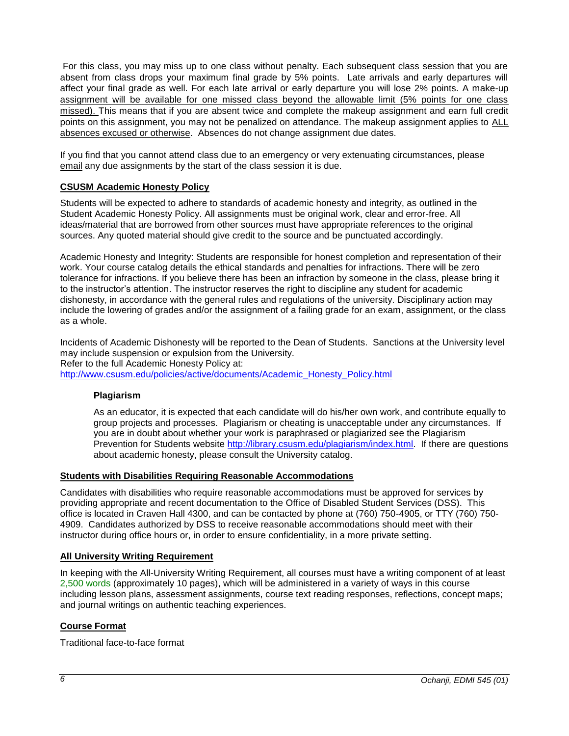For this class, you may miss up to one class without penalty. Each subsequent class session that you are absent from class drops your maximum final grade by 5% points. Late arrivals and early departures will affect your final grade as well. For each late arrival or early departure you will lose 2% points. A make-up assignment will be available for one missed class beyond the allowable limit (5% points for one class missed). This means that if you are absent twice and complete the makeup assignment and earn full credit points on this assignment, you may not be penalized on attendance. The makeup assignment applies to ALL absences excused or otherwise. Absences do not change assignment due dates.

If you find that you cannot attend class due to an emergency or very extenuating circumstances, please email any due assignments by the start of the class session it is due.

## <span id="page-5-0"></span>**CSUSM Academic Honesty Policy**

Students will be expected to adhere to standards of academic honesty and integrity, as outlined in the Student Academic Honesty Policy. All assignments must be original work, clear and error-free. All ideas/material that are borrowed from other sources must have appropriate references to the original sources. Any quoted material should give credit to the source and be punctuated accordingly.

Academic Honesty and Integrity: Students are responsible for honest completion and representation of their work. Your course catalog details the ethical standards and penalties for infractions. There will be zero tolerance for infractions. If you believe there has been an infraction by someone in the class, please bring it to the instructor's attention. The instructor reserves the right to discipline any student for academic dishonesty, in accordance with the general rules and regulations of the university. Disciplinary action may include the lowering of grades and/or the assignment of a failing grade for an exam, assignment, or the class as a whole.

Incidents of Academic Dishonesty will be reported to the Dean of Students. Sanctions at the University level may include suspension or expulsion from the University. Refer to the full Academic Honesty Policy at: [http://www.csusm.edu/policies/active/documents/Academic\\_Honesty\\_Policy.html](http://www.csusm.edu/policies/active/documents/Academic_Honesty_Policy.html)

## <span id="page-5-1"></span>**Plagiarism**

As an educator, it is expected that each candidate will do his/her own work, and contribute equally to group projects and processes. Plagiarism or cheating is unacceptable under any circumstances. If you are in doubt about whether your work is paraphrased or plagiarized see the Plagiarism Prevention for Students website [http://library.csusm.edu/plagiarism/index.html.](http://library.csusm.edu/plagiarism/index.html) If there are questions about academic honesty, please consult the University catalog.

## <span id="page-5-2"></span>**Students with Disabilities Requiring Reasonable Accommodations**

Candidates with disabilities who require reasonable accommodations must be approved for services by providing appropriate and recent documentation to the Office of Disabled Student Services (DSS). This office is located in Craven Hall 4300, and can be contacted by phone at (760) 750-4905, or TTY (760) 750- 4909. Candidates authorized by DSS to receive reasonable accommodations should meet with their instructor during office hours or, in order to ensure confidentiality, in a more private setting.

## <span id="page-5-3"></span>**All University Writing Requirement**

In keeping with the All-University Writing Requirement, all courses must have a writing component of at least 2,500 words (approximately 10 pages), which will be administered in a variety of ways in this course including lesson plans, assessment assignments, course text reading responses, reflections, concept maps; and journal writings on authentic teaching experiences.

## <span id="page-5-4"></span>**Course Format**

Traditional face-to-face format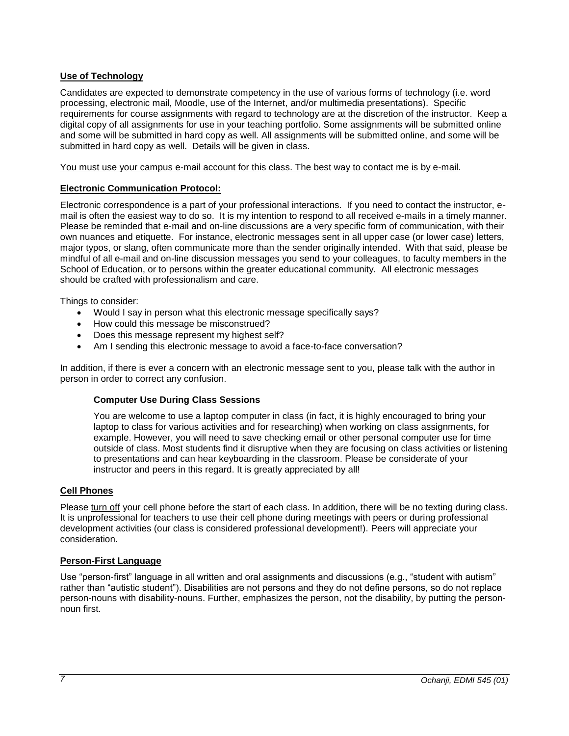## <span id="page-6-0"></span>**Use of Technology**

Candidates are expected to demonstrate competency in the use of various forms of technology (i.e. word processing, electronic mail, Moodle, use of the Internet, and/or multimedia presentations). Specific requirements for course assignments with regard to technology are at the discretion of the instructor. Keep a digital copy of all assignments for use in your teaching portfolio. Some assignments will be submitted online and some will be submitted in hard copy as well. All assignments will be submitted online, and some will be submitted in hard copy as well. Details will be given in class.

You must use your campus e-mail account for this class. The best way to contact me is by e-mail.

## <span id="page-6-1"></span>**Electronic Communication Protocol:**

Electronic correspondence is a part of your professional interactions. If you need to contact the instructor, email is often the easiest way to do so. It is my intention to respond to all received e-mails in a timely manner. Please be reminded that e-mail and on-line discussions are a very specific form of communication, with their own nuances and etiquette. For instance, electronic messages sent in all upper case (or lower case) letters, major typos, or slang, often communicate more than the sender originally intended. With that said, please be mindful of all e-mail and on-line discussion messages you send to your colleagues, to faculty members in the School of Education, or to persons within the greater educational community. All electronic messages should be crafted with professionalism and care.

Things to consider:

- Would I say in person what this electronic message specifically says?
- How could this message be misconstrued?
- Does this message represent my highest self?
- Am I sending this electronic message to avoid a face-to-face conversation?

<span id="page-6-2"></span>In addition, if there is ever a concern with an electronic message sent to you, please talk with the author in person in order to correct any confusion.

#### **Computer Use During Class Sessions**

You are welcome to use a laptop computer in class (in fact, it is highly encouraged to bring your laptop to class for various activities and for researching) when working on class assignments, for example. However, you will need to save checking email or other personal computer use for time outside of class. Most students find it disruptive when they are focusing on class activities or listening to presentations and can hear keyboarding in the classroom. Please be considerate of your instructor and peers in this regard. It is greatly appreciated by all!

#### <span id="page-6-3"></span>**Cell Phones**

Please turn off your cell phone before the start of each class. In addition, there will be no texting during class. It is unprofessional for teachers to use their cell phone during meetings with peers or during professional development activities (our class is considered professional development!). Peers will appreciate your consideration.

## <span id="page-6-4"></span>**Person-First Language**

Use "person-first" language in all written and oral assignments and discussions (e.g., "student with autism" rather than "autistic student"). Disabilities are not persons and they do not define persons, so do not replace person-nouns with disability-nouns. Further, emphasizes the person, not the disability, by putting the personnoun first.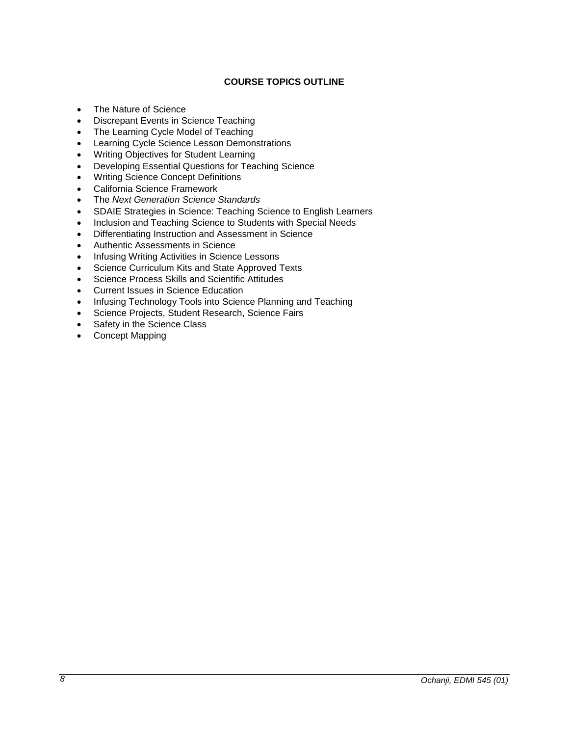## **COURSE TOPICS OUTLINE**

- <span id="page-7-0"></span>• The Nature of Science
- Discrepant Events in Science Teaching
- The Learning Cycle Model of Teaching
- **•** Learning Cycle Science Lesson Demonstrations
- Writing Objectives for Student Learning
- Developing Essential Questions for Teaching Science
- Writing Science Concept Definitions
- California Science Framework
- The *Next Generation Science Standards*
- SDAIE Strategies in Science: Teaching Science to English Learners
- Inclusion and Teaching Science to Students with Special Needs
- Differentiating Instruction and Assessment in Science
- Authentic Assessments in Science
- Infusing Writing Activities in Science Lessons
- Science Curriculum Kits and State Approved Texts
- Science Process Skills and Scientific Attitudes
- Current Issues in Science Education
- Infusing Technology Tools into Science Planning and Teaching
- Science Projects, Student Research, Science Fairs
- Safety in the Science Class
- Concept Mapping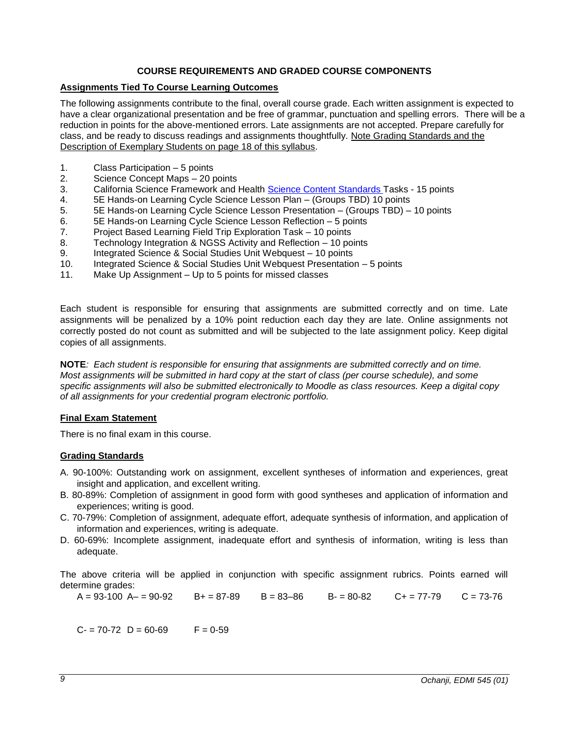## **COURSE REQUIREMENTS AND GRADED COURSE COMPONENTS**

## <span id="page-8-1"></span><span id="page-8-0"></span>**Assignments Tied To Course Learning Outcomes**

The following assignments contribute to the final, overall course grade. Each written assignment is expected to have a clear organizational presentation and be free of grammar, punctuation and spelling errors. There will be a reduction in points for the above-mentioned errors. Late assignments are not accepted. Prepare carefully for class, and be ready to discuss readings and assignments thoughtfully. Note Grading Standards and the Description of Exemplary Students on page 18 of this syllabus.

- 1. Class Participation 5 points
- 2. Science Concept Maps 20 points
- 3. California Science Framework and Health **Science Content Standards** Tasks 15 points
- 4. 5E Hands-on Learning Cycle Science Lesson Plan (Groups TBD) 10 points
- 5. 5E Hands-on Learning Cycle Science Lesson Presentation (Groups TBD) 10 points
- 6. 5E Hands-on Learning Cycle Science Lesson Reflection 5 points
- 7. Project Based Learning Field Trip Exploration Task 10 points
- 8. Technology Integration & NGSS Activity and Reflection 10 points
- 9. Integrated Science & Social Studies Unit Webquest 10 points
- 10. Integrated Science & Social Studies Unit Webquest Presentation 5 points
- 11. Make Up Assignment Up to 5 points for missed classes

Each student is responsible for ensuring that assignments are submitted correctly and on time. Late assignments will be penalized by a 10% point reduction each day they are late. Online assignments not correctly posted do not count as submitted and will be subjected to the late assignment policy. Keep digital copies of all assignments.

**NOTE***: Each student is responsible for ensuring that assignments are submitted correctly and on time. Most assignments will be submitted in hard copy at the start of class (per course schedule), and some specific assignments will also be submitted electronically to Moodle as class resources. Keep a digital copy of all assignments for your credential program electronic portfolio.*

## <span id="page-8-2"></span>**Final Exam Statement**

There is no final exam in this course.

## <span id="page-8-3"></span>**Grading Standards**

- A. 90-100%: Outstanding work on assignment, excellent syntheses of information and experiences, great insight and application, and excellent writing.
- B. 80-89%: Completion of assignment in good form with good syntheses and application of information and experiences; writing is good.
- C. 70-79%: Completion of assignment, adequate effort, adequate synthesis of information, and application of information and experiences, writing is adequate.
- D. 60-69%: Incomplete assignment, inadequate effort and synthesis of information, writing is less than adequate.

The above criteria will be applied in conjunction with specific assignment rubrics. Points earned will determine grades:

 $A = 93-100$   $A = 90-92$   $B = 87-89$   $B = 83-86$   $B = 80-82$   $C = 77-79$   $C = 73-76$ 

 $C = 70 - 72$   $D = 60 - 69$   $F = 0 - 59$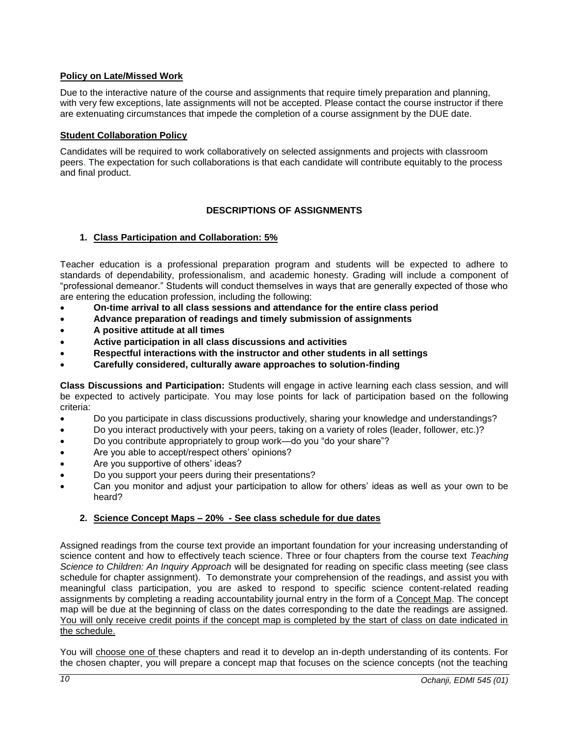## <span id="page-9-0"></span>**Policy on Late/Missed Work**

Due to the interactive nature of the course and assignments that require timely preparation and planning, with very few exceptions, late assignments will not be accepted. Please contact the course instructor if there are extenuating circumstances that impede the completion of a course assignment by the DUE date.

## <span id="page-9-1"></span>**Student Collaboration Policy**

Candidates will be required to work collaboratively on selected assignments and projects with classroom peers. The expectation for such collaborations is that each candidate will contribute equitably to the process and final product.

## **DESCRIPTIONS OF ASSIGNMENTS**

## <span id="page-9-3"></span><span id="page-9-2"></span>**1. Class Participation and Collaboration: 5%**

Teacher education is a professional preparation program and students will be expected to adhere to standards of dependability, professionalism, and academic honesty. Grading will include a component of "professional demeanor." Students will conduct themselves in ways that are generally expected of those who are entering the education profession, including the following:

- **On-time arrival to all class sessions and attendance for the entire class period**
- **Advance preparation of readings and timely submission of assignments**
- **A positive attitude at all times**
- **Active participation in all class discussions and activities**
- **Respectful interactions with the instructor and other students in all settings**
- **Carefully considered, culturally aware approaches to solution-finding**

**Class Discussions and Participation:** Students will engage in active learning each class session, and will be expected to actively participate. You may lose points for lack of participation based on the following criteria:

- Do you participate in class discussions productively, sharing your knowledge and understandings?
- Do you interact productively with your peers, taking on a variety of roles (leader, follower, etc.)?
- Do you contribute appropriately to group work—do you "do your share"?
- Are you able to accept/respect others' opinions?
- Are you supportive of others' ideas?
- Do you support your peers during their presentations?
- Can you monitor and adjust your participation to allow for others' ideas as well as your own to be heard?

## <span id="page-9-4"></span>**2. Science Concept Maps – 20% - See class schedule for due dates**

Assigned readings from the course text provide an important foundation for your increasing understanding of science content and how to effectively teach science. Three or four chapters from the course text *Teaching Science to Children: An Inquiry Approach* will be designated for reading on specific class meeting (see class schedule for chapter assignment). To demonstrate your comprehension of the readings, and assist you with meaningful class participation, you are asked to respond to specific science content-related reading assignments by completing a reading accountability journal entry in the form of a Concept Map. The concept map will be due at the beginning of class on the dates corresponding to the date the readings are assigned. You will only receive credit points if the concept map is completed by the start of class on date indicated in the schedule.

You will choose one of these chapters and read it to develop an in-depth understanding of its contents. For the chosen chapter, you will prepare a concept map that focuses on the science concepts (not the teaching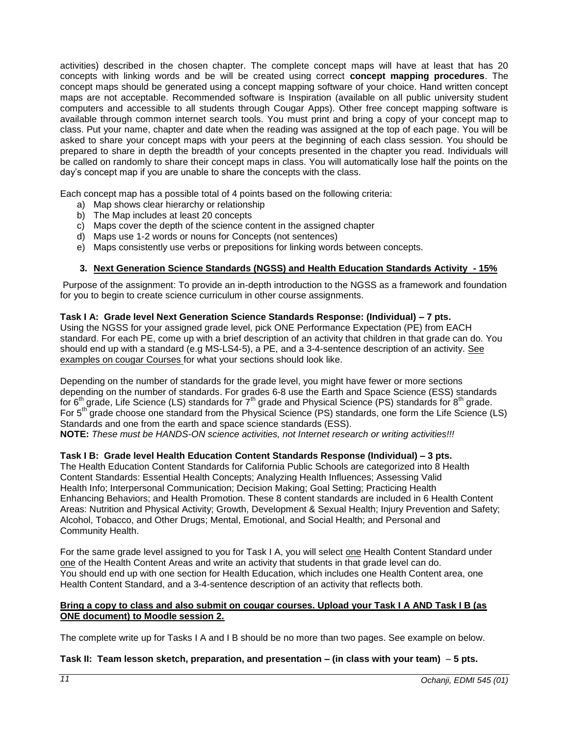activities) described in the chosen chapter. The complete concept maps will have at least that has 20 concepts with linking words and be will be created using correct **concept mapping procedures**. The concept maps should be generated using a concept mapping software of your choice. Hand written concept maps are not acceptable. Recommended software is Inspiration (available on all public university student computers and accessible to all students through Cougar Apps). Other free concept mapping software is available through common internet search tools. You must print and bring a copy of your concept map to class. Put your name, chapter and date when the reading was assigned at the top of each page. You will be asked to share your concept maps with your peers at the beginning of each class session. You should be prepared to share in depth the breadth of your concepts presented in the chapter you read. Individuals will be called on randomly to share their concept maps in class. You will automatically lose half the points on the day's concept map if you are unable to share the concepts with the class.

Each concept map has a possible total of 4 points based on the following criteria:

- a) Map shows clear hierarchy or relationship
- b) The Map includes at least 20 concepts
- c) Maps cover the depth of the science content in the assigned chapter
- d) Maps use 1-2 words or nouns for Concepts (not sentences)
- e) Maps consistently use verbs or prepositions for linking words between concepts.

## **3. Next Generation Science Standards (NGSS) and Health Education Standards Activity - 15%**

<span id="page-10-0"></span>Purpose of the assignment: To provide an in-depth introduction to the NGSS as a framework and foundation for you to begin to create science curriculum in other course assignments.

## **Task I A: Grade level Next Generation Science Standards Response: (Individual) – 7 pts.**

Using the NGSS for your assigned grade level, pick ONE Performance Expectation (PE) from EACH standard. For each PE, come up with a brief description of an activity that children in that grade can do. You should end up with a standard (e.g MS-LS4-5), a PE, and a 3-4-sentence description of an activity. See examples on cougar Courses for what your sections should look like.

Depending on the number of standards for the grade level, you might have fewer or more sections depending on the number of standards. For grades 6-8 use the Earth and Space Science (ESS) standards for  $6<sup>th</sup>$  grade, Life Science (LS) standards for  $7<sup>th</sup>$  grade and Physical Science (PS) standards for  $8<sup>th</sup>$  grade. For 5<sup>th</sup> grade choose one standard from the Physical Science (PS) standards, one form the Life Science (LS) Standards and one from the earth and space science standards (ESS). **NOTE:** *These must be HANDS-ON science activities, not Internet research or writing activities!!!*

#### **Task I B: Grade level Health Education Content Standards Response (Individual) – 3 pts.**

The Health Education Content Standards for California Public Schools are categorized into 8 Health Content Standards: Essential Health Concepts; Analyzing Health Influences; Assessing Valid Health Info; Interpersonal Communication; Decision Making; Goal Setting; Practicing Health Enhancing Behaviors; and Health Promotion. These 8 content standards are included in 6 Health Content Areas: Nutrition and Physical Activity; Growth, Development & Sexual Health; Injury Prevention and Safety; Alcohol, Tobacco, and Other Drugs; Mental, Emotional, and Social Health; and Personal and Community Health.

For the same grade level assigned to you for Task I A, you will select one Health Content Standard under one of the Health Content Areas and write an activity that students in that grade level can do. You should end up with one section for Health Education, which includes one Health Content area, one Health Content Standard, and a 3-4-sentence description of an activity that reflects both.

## **Bring a copy to class and also submit on cougar courses. Upload your Task I A AND Task I B (as ONE document) to Moodle session 2.**

The complete write up for Tasks I A and I B should be no more than two pages. See example on below.

#### **Task II: Team lesson sketch, preparation, and presentation – (in class with your team)** – **5 pts.**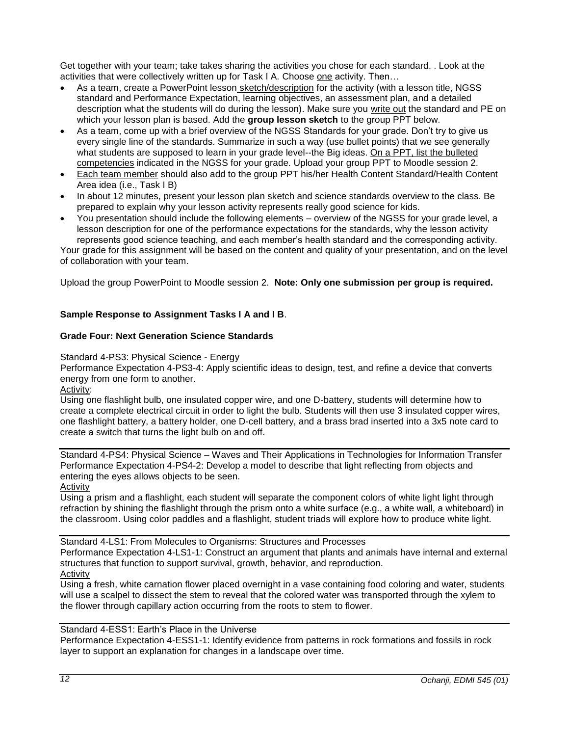Get together with your team; take takes sharing the activities you chose for each standard. . Look at the activities that were collectively written up for Task I A. Choose one activity. Then…

- As a team, create a PowerPoint lesson sketch/description for the activity (with a lesson title, NGSS standard and Performance Expectation, learning objectives, an assessment plan, and a detailed description what the students will do during the lesson). Make sure you write out the standard and PE on which your lesson plan is based. Add the **group lesson sketch** to the group PPT below.
- As a team, come up with a brief overview of the NGSS Standards for your grade. Don't try to give us every single line of the standards. Summarize in such a way (use bullet points) that we see generally what students are supposed to learn in your grade level--the Big ideas. On a PPT, list the bulleted competencies indicated in the NGSS for your grade. Upload your group PPT to Moodle session 2.
- Each team member should also add to the group PPT his/her Health Content Standard/Health Content Area idea (i.e., Task I B)
- In about 12 minutes, present your lesson plan sketch and science standards overview to the class. Be prepared to explain why your lesson activity represents really good science for kids.
- You presentation should include the following elements overview of the NGSS for your grade level, a lesson description for one of the performance expectations for the standards, why the lesson activity represents good science teaching, and each member's health standard and the corresponding activity.

Your grade for this assignment will be based on the content and quality of your presentation, and on the level of collaboration with your team.

Upload the group PowerPoint to Moodle session 2. **Note: Only one submission per group is required.**

## **Sample Response to Assignment Tasks I A and I B**.

#### **Grade Four: Next Generation Science Standards**

Standard 4-PS3: Physical Science - Energy

Performance Expectation 4-PS3-4: Apply scientific ideas to design, test, and refine a device that converts energy from one form to another.

Activity:

Using one flashlight bulb, one insulated copper wire, and one D-battery, students will determine how to create a complete electrical circuit in order to light the bulb. Students will then use 3 insulated copper wires, one flashlight battery, a battery holder, one D-cell battery, and a brass brad inserted into a 3x5 note card to create a switch that turns the light bulb on and off.

Standard 4-PS4: Physical Science – Waves and Their Applications in Technologies for Information Transfer Performance Expectation 4-PS4-2: Develop a model to describe that light reflecting from objects and entering the eyes allows objects to be seen.

Activity

Using a prism and a flashlight, each student will separate the component colors of white light light through refraction by shining the flashlight through the prism onto a white surface (e.g., a white wall, a whiteboard) in the classroom. Using color paddles and a flashlight, student triads will explore how to produce white light.

Standard 4-LS1: From Molecules to Organisms: Structures and Processes Performance Expectation 4-LS1-1: Construct an argument that plants and animals have internal and external structures that function to support survival, growth, behavior, and reproduction.

**Activity** 

Using a fresh, white carnation flower placed overnight in a vase containing food coloring and water, students will use a scalpel to dissect the stem to reveal that the colored water was transported through the xylem to the flower through capillary action occurring from the roots to stem to flower.

## Standard 4-ESS1: Earth's Place in the Universe

Performance Expectation 4-ESS1-1: Identify evidence from patterns in rock formations and fossils in rock layer to support an explanation for changes in a landscape over time.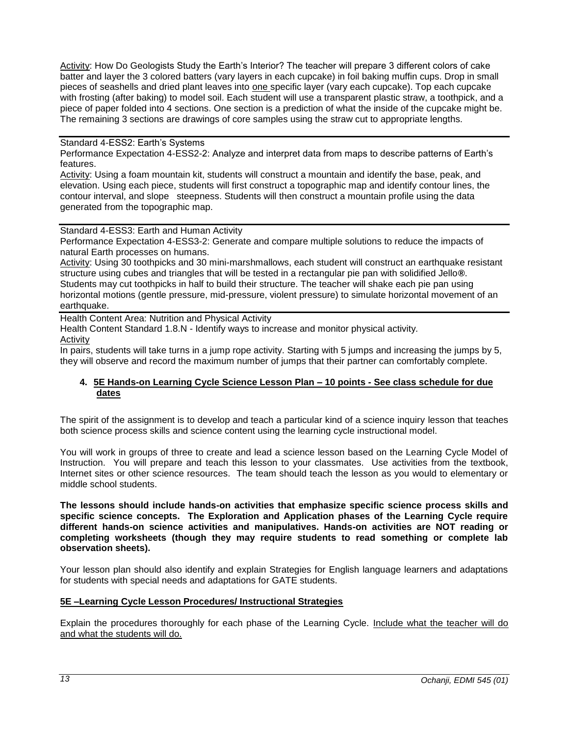Activity: How Do Geologists Study the Earth's Interior? The teacher will prepare 3 different colors of cake batter and layer the 3 colored batters (vary layers in each cupcake) in foil baking muffin cups. Drop in small pieces of seashells and dried plant leaves into one specific layer (vary each cupcake). Top each cupcake with frosting (after baking) to model soil. Each student will use a transparent plastic straw, a toothpick, and a piece of paper folded into 4 sections. One section is a prediction of what the inside of the cupcake might be. The remaining 3 sections are drawings of core samples using the straw cut to appropriate lengths.

## Standard 4-ESS2: Earth's Systems

Performance Expectation 4-ESS2-2: Analyze and interpret data from maps to describe patterns of Earth's features.

Activity: Using a foam mountain kit, students will construct a mountain and identify the base, peak, and elevation. Using each piece, students will first construct a topographic map and identify contour lines, the contour interval, and slope steepness. Students will then construct a mountain profile using the data generated from the topographic map.

Standard 4-ESS3: Earth and Human Activity

Performance Expectation 4-ESS3-2: Generate and compare multiple solutions to reduce the impacts of natural Earth processes on humans.

Activity: Using 30 toothpicks and 30 mini-marshmallows, each student will construct an earthquake resistant structure using cubes and triangles that will be tested in a rectangular pie pan with solidified Jello**®**. Students may cut toothpicks in half to build their structure. The teacher will shake each pie pan using horizontal motions (gentle pressure, mid-pressure, violent pressure) to simulate horizontal movement of an earthquake.

Health Content Area: Nutrition and Physical Activity

Health Content Standard 1.8.N - Identify ways to increase and monitor physical activity*.*

Activity

In pairs, students will take turns in a jump rope activity. Starting with 5 jumps and increasing the jumps by 5, they will observe and record the maximum number of jumps that their partner can comfortably complete.

## <span id="page-12-0"></span>**4. 5E Hands-on Learning Cycle Science Lesson Plan – 10 points** *-* **See class schedule for due dates**

The spirit of the assignment is to develop and teach a particular kind of a science inquiry lesson that teaches both science process skills and science content using the learning cycle instructional model.

You will work in groups of three to create and lead a science lesson based on the Learning Cycle Model of Instruction. You will prepare and teach this lesson to your classmates. Use activities from the textbook, Internet sites or other science resources. The team should teach the lesson as you would to elementary or middle school students.

**The lessons should include hands-on activities that emphasize specific science process skills and specific science concepts. The Exploration and Application phases of the Learning Cycle require different hands-on science activities and manipulatives. Hands-on activities are NOT reading or completing worksheets (though they may require students to read something or complete lab observation sheets).** 

Your lesson plan should also identify and explain Strategies for English language learners and adaptations for students with special needs and adaptations for GATE students.

#### **5E –Learning Cycle Lesson Procedures/ Instructional Strategies**

Explain the procedures thoroughly for each phase of the Learning Cycle. Include what the teacher will do and what the students will do.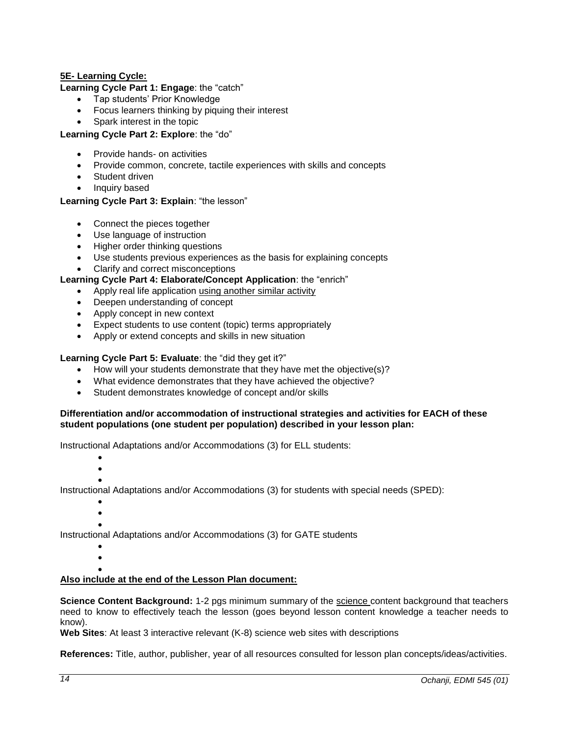## **5E- Learning Cycle:**

**Learning Cycle Part 1: Engage**: the "catch"

- Tap students' Prior Knowledge
- Focus learners thinking by piquing their interest
- Spark interest in the topic

**Learning Cycle Part 2: Explore**: the "do"

- Provide hands- on activities
- Provide common, concrete, tactile experiences with skills and concepts
- Student driven
- Inquiry based

## **Learning Cycle Part 3: Explain**: "the lesson"

- Connect the pieces together
- Use language of instruction
- Higher order thinking questions
- Use students previous experiences as the basis for explaining concepts
- Clarify and correct misconceptions

## **Learning Cycle Part 4: Elaborate/Concept Application**: the "enrich"

- Apply real life application using another similar activity
- Deepen understanding of concept
- Apply concept in new context
- Expect students to use content (topic) terms appropriately
- Apply or extend concepts and skills in new situation

## **Learning Cycle Part 5: Evaluate**: the "did they get it?"

- How will your students demonstrate that they have met the objective(s)?
- What evidence demonstrates that they have achieved the objective?
- Student demonstrates knowledge of concept and/or skills

#### **Differentiation and/or accommodation of instructional strategies and activities for EACH of these student populations (one student per population) described in your lesson plan:**

Instructional Adaptations and/or Accommodations (3) for ELL students:

- $\bullet$
- $\bullet$  $\bullet$

Instructional Adaptations and/or Accommodations (3) for students with special needs (SPED):

- $\bullet$
- $\bullet$  $\bullet$

Instructional Adaptations and/or Accommodations (3) for GATE students

 $\bullet$  $\bullet$ 

# $\bullet$

## **Also include at the end of the Lesson Plan document:**

**Science Content Background:** 1-2 pgs minimum summary of the science content background that teachers need to know to effectively teach the lesson (goes beyond lesson content knowledge a teacher needs to know).

**Web Sites**: At least 3 interactive relevant (K-8) science web sites with descriptions

**References:** Title, author, publisher, year of all resources consulted for lesson plan concepts/ideas/activities.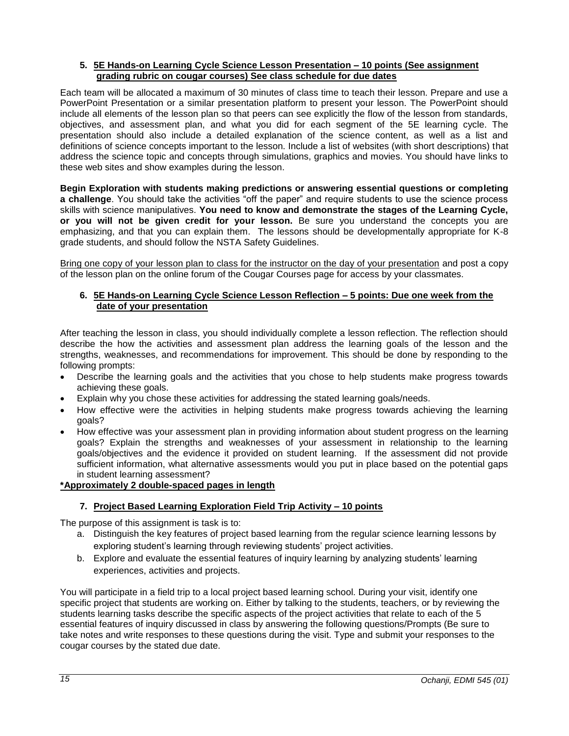## <span id="page-14-0"></span>**5. 5E Hands-on Learning Cycle Science Lesson Presentation – 10 points (See assignment grading rubric on cougar courses) See class schedule for due dates**

Each team will be allocated a maximum of 30 minutes of class time to teach their lesson. Prepare and use a PowerPoint Presentation or a similar presentation platform to present your lesson. The PowerPoint should include all elements of the lesson plan so that peers can see explicitly the flow of the lesson from standards, objectives, and assessment plan, and what you did for each segment of the 5E learning cycle. The presentation should also include a detailed explanation of the science content, as well as a list and definitions of science concepts important to the lesson. Include a list of websites (with short descriptions) that address the science topic and concepts through simulations, graphics and movies. You should have links to these web sites and show examples during the lesson.

**Begin Exploration with students making predictions or answering essential questions or completing a challenge**. You should take the activities "off the paper" and require students to use the science process skills with science manipulatives. **You need to know and demonstrate the stages of the Learning Cycle, or you will not be given credit for your lesson.** Be sure you understand the concepts you are emphasizing, and that you can explain them. The lessons should be developmentally appropriate for K-8 grade students, and should follow the NSTA Safety Guidelines.

Bring one copy of your lesson plan to class for the instructor on the day of your presentation and post a copy of the lesson plan on the online forum of the Cougar Courses page for access by your classmates.

## <span id="page-14-1"></span>**6. 5E Hands-on Learning Cycle Science Lesson Reflection – 5 points: Due one week from the date of your presentation**

After teaching the lesson in class, you should individually complete a lesson reflection. The reflection should describe the how the activities and assessment plan address the learning goals of the lesson and the strengths, weaknesses, and recommendations for improvement. This should be done by responding to the following prompts:

- Describe the learning goals and the activities that you chose to help students make progress towards achieving these goals.
- Explain why you chose these activities for addressing the stated learning goals/needs.
- How effective were the activities in helping students make progress towards achieving the learning goals?
- How effective was your assessment plan in providing information about student progress on the learning goals? Explain the strengths and weaknesses of your assessment in relationship to the learning goals/objectives and the evidence it provided on student learning. If the assessment did not provide sufficient information, what alternative assessments would you put in place based on the potential gaps in student learning assessment?

## **\*Approximately 2 double-spaced pages in length**

## **7. Project Based Learning Exploration Field Trip Activity – 10 points**

<span id="page-14-2"></span>The purpose of this assignment is task is to:

- a. Distinguish the key features of project based learning from the regular science learning lessons by exploring student's learning through reviewing students' project activities.
- b. Explore and evaluate the essential features of inquiry learning by analyzing students' learning experiences, activities and projects.

You will participate in a field trip to a local project based learning school. During your visit, identify one specific project that students are working on. Either by talking to the students, teachers, or by reviewing the students learning tasks describe the specific aspects of the project activities that relate to each of the 5 essential features of inquiry discussed in class by answering the following questions/Prompts (Be sure to take notes and write responses to these questions during the visit. Type and submit your responses to the cougar courses by the stated due date.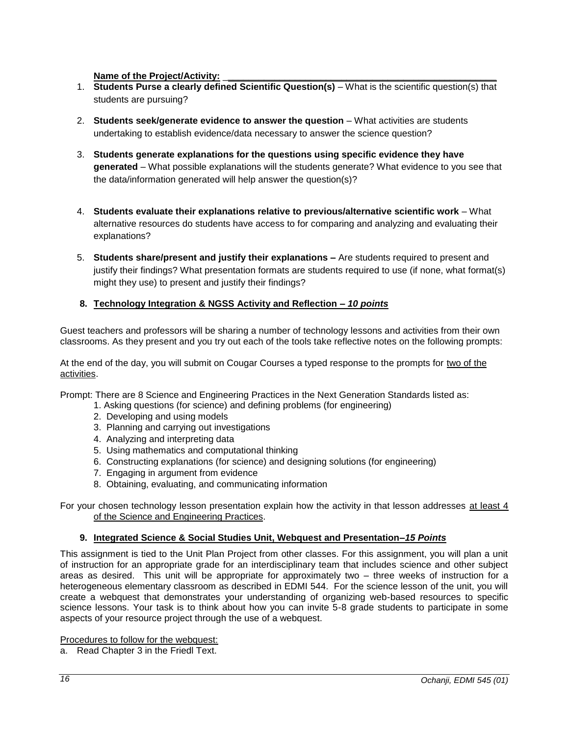## Name of the Project/Activity:

- 1. **Students Purse a clearly defined Scientific Question(s)** What is the scientific question(s) that students are pursuing?
- 2. **Students seek/generate evidence to answer the question** What activities are students undertaking to establish evidence/data necessary to answer the science question?
- 3. **Students generate explanations for the questions using specific evidence they have generated** – What possible explanations will the students generate? What evidence to you see that the data/information generated will help answer the question(s)?
- 4. **Students evaluate their explanations relative to previous/alternative scientific work** What alternative resources do students have access to for comparing and analyzing and evaluating their explanations?
- 5. **Students share/present and justify their explanations –** Are students required to present and justify their findings? What presentation formats are students required to use (if none, what format(s) might they use) to present and justify their findings?

## <span id="page-15-0"></span>**8. Technology Integration & NGSS Activity and Reflection** *– 10 points*

Guest teachers and professors will be sharing a number of technology lessons and activities from their own classrooms. As they present and you try out each of the tools take reflective notes on the following prompts:

At the end of the day, you will submit on Cougar Courses a typed response to the prompts for two of the activities.

Prompt: There are 8 Science and Engineering Practices in the Next Generation Standards listed as:

- 1. Asking questions (for science) and defining problems (for engineering)
- 2. Developing and using models
- 3. Planning and carrying out investigations
- 4. Analyzing and interpreting data
- 5. Using mathematics and computational thinking
- 6. Constructing explanations (for science) and designing solutions (for engineering)
- 7. Engaging in argument from evidence
- 8. Obtaining, evaluating, and communicating information

For your chosen technology lesson presentation explain how the activity in that lesson addresses at least 4 of the Science and Engineering Practices.

#### **9. Integrated Science & Social Studies Unit, Webquest and Presentation–***15 Points*

<span id="page-15-1"></span>This assignment is tied to the Unit Plan Project from other classes. For this assignment, you will plan a unit of instruction for an appropriate grade for an interdisciplinary team that includes science and other subject areas as desired. This unit will be appropriate for approximately two – three weeks of instruction for a heterogeneous elementary classroom as described in EDMI 544. For the science lesson of the unit, you will create a webquest that demonstrates your understanding of organizing web-based resources to specific science lessons. Your task is to think about how you can invite 5-8 grade students to participate in some aspects of your resource project through the use of a webquest.

Procedures to follow for the webquest:

a. Read Chapter 3 in the Friedl Text.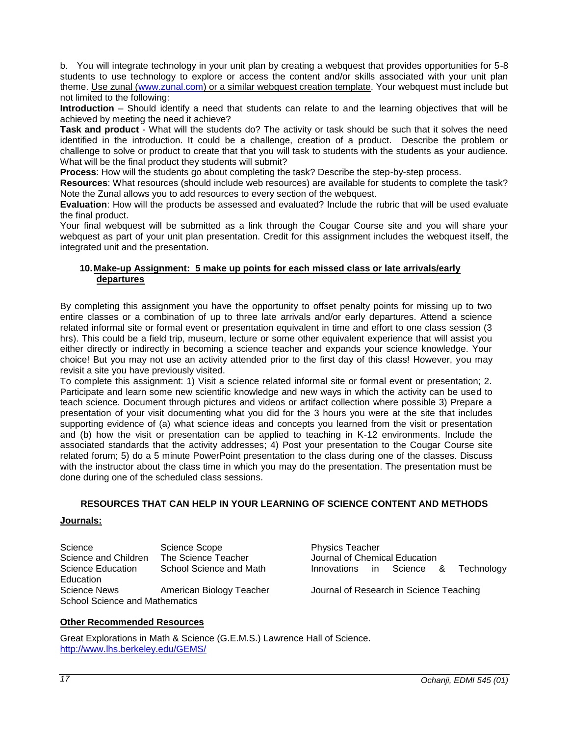b. You will integrate technology in your unit plan by creating a webquest that provides opportunities for 5-8 students to use technology to explore or access the content and/or skills associated with your unit plan theme. Use zunal [\(www.zunal.com\)](http://www.zunal.com/) or a similar webquest creation template. Your webquest must include but not limited to the following:

**Introduction** – Should identify a need that students can relate to and the learning objectives that will be achieved by meeting the need it achieve?

**Task and product** - What will the students do? The activity or task should be such that it solves the need identified in the introduction. It could be a challenge, creation of a product. Describe the problem or challenge to solve or product to create that that you will task to students with the students as your audience. What will be the final product they students will submit?

**Process**: How will the students go about completing the task? Describe the step-by-step process.

**Resources**: What resources (should include web resources) are available for students to complete the task? Note the Zunal allows you to add resources to every section of the webquest.

**Evaluation**: How will the products be assessed and evaluated? Include the rubric that will be used evaluate the final product.

Your final webquest will be submitted as a link through the Cougar Course site and you will share your webquest as part of your unit plan presentation. Credit for this assignment includes the webquest itself, the integrated unit and the presentation.

## <span id="page-16-0"></span>**10.Make-up Assignment: 5 make up points for each missed class or late arrivals/early departures**

By completing this assignment you have the opportunity to offset penalty points for missing up to two entire classes or a combination of up to three late arrivals and/or early departures. Attend a science related informal site or formal event or presentation equivalent in time and effort to one class session (3 hrs). This could be a field trip, museum, lecture or some other equivalent experience that will assist you either directly or indirectly in becoming a science teacher and expands your science knowledge. Your choice! But you may not use an activity attended prior to the first day of this class! However, you may revisit a site you have previously visited.

To complete this assignment: 1) Visit a science related informal site or formal event or presentation; 2. Participate and learn some new scientific knowledge and new ways in which the activity can be used to teach science. Document through pictures and videos or artifact collection where possible 3) Prepare a presentation of your visit documenting what you did for the 3 hours you were at the site that includes supporting evidence of (a) what science ideas and concepts you learned from the visit or presentation and (b) how the visit or presentation can be applied to teaching in K-12 environments. Include the associated standards that the activity addresses; 4) Post your presentation to the Cougar Course site related forum; 5) do a 5 minute PowerPoint presentation to the class during one of the classes. Discuss with the instructor about the class time in which you may do the presentation. The presentation must be done during one of the scheduled class sessions.

## **RESOURCES THAT CAN HELP IN YOUR LEARNING OF SCIENCE CONTENT AND METHODS**

## <span id="page-16-2"></span><span id="page-16-1"></span>**Journals:**

Science Science Scope<br>
Science and Children The Science Teacher<br>
Science and Children The Science Teacher<br>
Sournal of Chemi Science and Children The Science Teacher **Journal of Chemical Education** Science Education School Science and Math Innovations in Science & Technology Education<br>Science News School Science and Mathematics

American Biology Teacher Journal of Research in Science Teaching

#### <span id="page-16-3"></span>**Other Recommended Resources**

Great Explorations in Math & Science (G.E.M.S.) Lawrence Hall of Science. <http://www.lhs.berkeley.edu/GEMS/>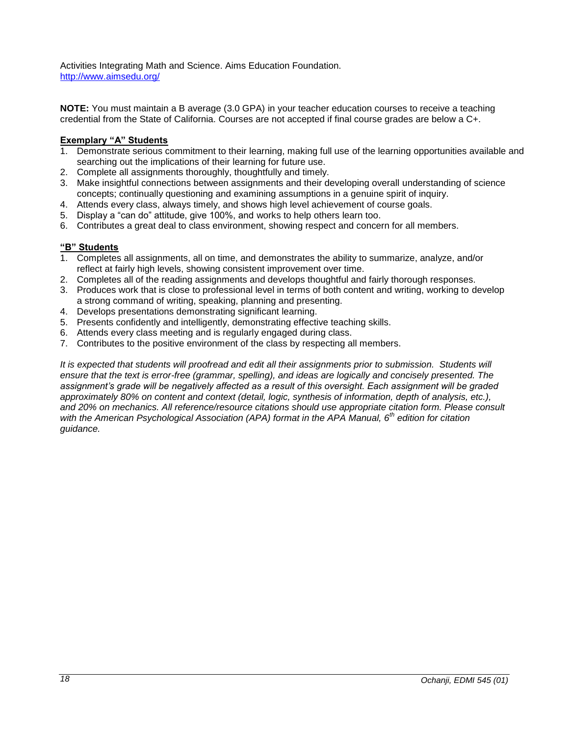Activities Integrating Math and Science. Aims Education Foundation. <http://www.aimsedu.org/>

**NOTE:** You must maintain a B average (3.0 GPA) in your teacher education courses to receive a teaching credential from the State of California. Courses are not accepted if final course grades are below a C+.

## **Exemplary "A" Students**

- 1. Demonstrate serious commitment to their learning, making full use of the learning opportunities available and searching out the implications of their learning for future use.
- 2. Complete all assignments thoroughly, thoughtfully and timely.
- 3. Make insightful connections between assignments and their developing overall understanding of science concepts; continually questioning and examining assumptions in a genuine spirit of inquiry.
- 4. Attends every class, always timely, and shows high level achievement of course goals.
- 5. Display a "can do" attitude, give 100%, and works to help others learn too.
- 6. Contributes a great deal to class environment, showing respect and concern for all members.

## **"B" Students**

- 1. Completes all assignments, all on time, and demonstrates the ability to summarize, analyze, and/or reflect at fairly high levels, showing consistent improvement over time.
- 2. Completes all of the reading assignments and develops thoughtful and fairly thorough responses.
- 3. Produces work that is close to professional level in terms of both content and writing, working to develop a strong command of writing, speaking, planning and presenting.
- 4. Develops presentations demonstrating significant learning.
- 5. Presents confidently and intelligently, demonstrating effective teaching skills.
- 6. Attends every class meeting and is regularly engaged during class.
- 7. Contributes to the positive environment of the class by respecting all members.

*It is expected that students will proofread and edit all their assignments prior to submission. Students will ensure that the text is error-free (grammar, spelling), and ideas are logically and concisely presented. The assignment's grade will be negatively affected as a result of this oversight. Each assignment will be graded*  approximately 80% on content and context (detail, logic, synthesis of information, depth of analysis, etc.), *and 20% on mechanics. All reference/resource citations should use appropriate citation form. Please consult with the American Psychological Association (APA) format in the APA Manual, 6th edition for citation guidance.*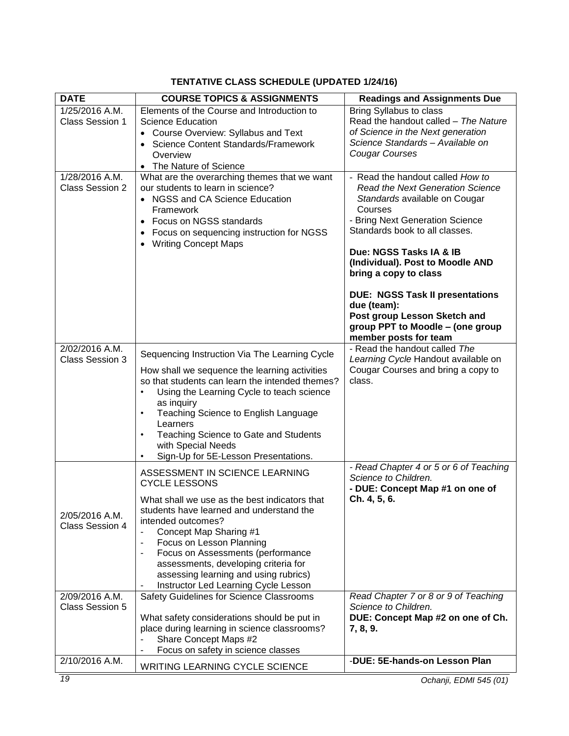## **TENTATIVE CLASS SCHEDULE (UPDATED 1/24/16)**

<span id="page-18-1"></span><span id="page-18-0"></span>

| <b>DATE</b>                              | <b>COURSE TOPICS &amp; ASSIGNMENTS</b>                                                                                                                                                                                                                                                                                                                                                                                                              | <b>Readings and Assignments Due</b>                                                                                                                                                                                                                                                                                                                                                                                                        |
|------------------------------------------|-----------------------------------------------------------------------------------------------------------------------------------------------------------------------------------------------------------------------------------------------------------------------------------------------------------------------------------------------------------------------------------------------------------------------------------------------------|--------------------------------------------------------------------------------------------------------------------------------------------------------------------------------------------------------------------------------------------------------------------------------------------------------------------------------------------------------------------------------------------------------------------------------------------|
| 1/25/2016 A.M.<br><b>Class Session 1</b> | Elements of the Course and Introduction to<br><b>Science Education</b><br>Course Overview: Syllabus and Text<br>Science Content Standards/Framework<br>Overview<br>The Nature of Science                                                                                                                                                                                                                                                            | <b>Bring Syllabus to class</b><br>Read the handout called - The Nature<br>of Science in the Next generation<br>Science Standards - Available on<br>Cougar Courses                                                                                                                                                                                                                                                                          |
| 1/28/2016 A.M.<br><b>Class Session 2</b> | What are the overarching themes that we want<br>our students to learn in science?<br>• NGSS and CA Science Education<br>Framework<br>Focus on NGSS standards<br>Focus on sequencing instruction for NGSS<br><b>Writing Concept Maps</b>                                                                                                                                                                                                             | - Read the handout called How to<br><b>Read the Next Generation Science</b><br>Standards available on Cougar<br>Courses<br>- Bring Next Generation Science<br>Standards book to all classes.<br>Due: NGSS Tasks IA & IB<br>(Individual). Post to Moodle AND<br>bring a copy to class<br><b>DUE: NGSS Task II presentations</b><br>due (team):<br>Post group Lesson Sketch and<br>group PPT to Moodle - (one group<br>member posts for team |
| 2/02/2016 A.M.<br><b>Class Session 3</b> | Sequencing Instruction Via The Learning Cycle<br>How shall we sequence the learning activities<br>so that students can learn the intended themes?<br>Using the Learning Cycle to teach science<br>$\bullet$<br>as inquiry<br>Teaching Science to English Language<br>$\bullet$<br>Learners<br>Teaching Science to Gate and Students<br>$\bullet$<br>with Special Needs<br>Sign-Up for 5E-Lesson Presentations.<br>$\bullet$                         | - Read the handout called The<br>Learning Cycle Handout available on<br>Cougar Courses and bring a copy to<br>class.                                                                                                                                                                                                                                                                                                                       |
| 2/05/2016 A.M.<br><b>Class Session 4</b> | ASSESSMENT IN SCIENCE LEARNING<br><b>CYCLE LESSONS</b><br>What shall we use as the best indicators that<br>students have learned and understand the<br>intended outcomes?<br>Concept Map Sharing #1<br>$\blacksquare$<br>Focus on Lesson Planning<br>$\blacksquare$<br>Focus on Assessments (performance<br>$\blacksquare$<br>assessments, developing criteria for<br>assessing learning and using rubrics)<br>Instructor Led Learning Cycle Lesson | - Read Chapter 4 or 5 or 6 of Teaching<br>Science to Children.<br>- DUE: Concept Map #1 on one of<br>Ch. 4, 5, 6.                                                                                                                                                                                                                                                                                                                          |
| 2/09/2016 A.M.<br><b>Class Session 5</b> | Safety Guidelines for Science Classrooms<br>What safety considerations should be put in<br>place during learning in science classrooms?<br>Share Concept Maps #2<br>Focus on safety in science classes                                                                                                                                                                                                                                              | Read Chapter 7 or 8 or 9 of Teaching<br>Science to Children.<br>DUE: Concept Map #2 on one of Ch.<br>7, 8, 9.                                                                                                                                                                                                                                                                                                                              |
| 2/10/2016 A.M.                           | WRITING LEARNING CYCLE SCIENCE                                                                                                                                                                                                                                                                                                                                                                                                                      | -DUE: 5E-hands-on Lesson Plan                                                                                                                                                                                                                                                                                                                                                                                                              |

<span id="page-18-3"></span><span id="page-18-2"></span>*19 Ochanji, EDMI 545 (01)*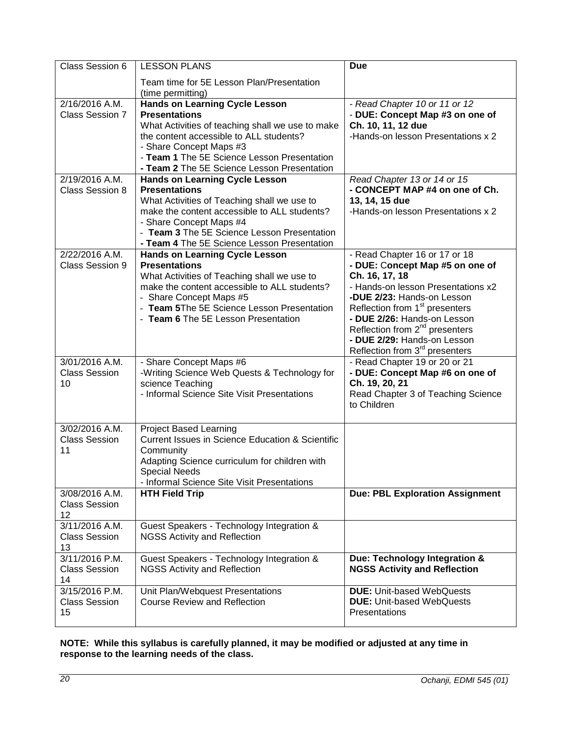| Class Session 6                                | <b>LESSON PLANS</b>                                                                                                                                                                                                                                                                   | <b>Due</b>                                                                                                                                                                                                                                                                                                                                                     |
|------------------------------------------------|---------------------------------------------------------------------------------------------------------------------------------------------------------------------------------------------------------------------------------------------------------------------------------------|----------------------------------------------------------------------------------------------------------------------------------------------------------------------------------------------------------------------------------------------------------------------------------------------------------------------------------------------------------------|
|                                                | Team time for 5E Lesson Plan/Presentation<br>(time permitting)                                                                                                                                                                                                                        |                                                                                                                                                                                                                                                                                                                                                                |
| $2/16/2016$ A.M.<br>Class Session 7            | <b>Hands on Learning Cycle Lesson</b><br><b>Presentations</b><br>What Activities of teaching shall we use to make<br>the content accessible to ALL students?<br>- Share Concept Maps #3<br>- Team 1 The 5E Science Lesson Presentation<br>- Team 2 The 5E Science Lesson Presentation | - Read Chapter 10 or 11 or 12<br>- DUE: Concept Map #3 on one of<br>Ch. 10, 11, 12 due<br>-Hands-on lesson Presentations x 2                                                                                                                                                                                                                                   |
| 2/19/2016 A.M.<br><b>Class Session 8</b>       | <b>Hands on Learning Cycle Lesson</b><br><b>Presentations</b><br>What Activities of Teaching shall we use to<br>make the content accessible to ALL students?<br>- Share Concept Maps #4<br>- Team 3 The 5E Science Lesson Presentation<br>- Team 4 The 5E Science Lesson Presentation | Read Chapter 13 or 14 or 15<br>- CONCEPT MAP #4 on one of Ch.<br>13, 14, 15 due<br>-Hands-on lesson Presentations x 2                                                                                                                                                                                                                                          |
| 2/22/2016 A.M.<br><b>Class Session 9</b>       | <b>Hands on Learning Cycle Lesson</b><br><b>Presentations</b><br>What Activities of Teaching shall we use to<br>make the content accessible to ALL students?<br>- Share Concept Maps #5<br>- Team 5The 5E Science Lesson Presentation<br>- Team 6 The 5E Lesson Presentation          | - Read Chapter 16 or 17 or 18<br>- DUE: Concept Map #5 on one of<br>Ch. 16, 17, 18<br>- Hands-on lesson Presentations x2<br>-DUE 2/23: Hands-on Lesson<br>Reflection from 1 <sup>st</sup> presenters<br>- DUE 2/26: Hands-on Lesson<br>Reflection from 2 <sup>nd</sup> presenters<br>- DUE 2/29: Hands-on Lesson<br>Reflection from 3 <sup>rd</sup> presenters |
| $3/01/2016$ A.M.<br><b>Class Session</b><br>10 | - Share Concept Maps #6<br>-Writing Science Web Quests & Technology for<br>science Teaching<br>- Informal Science Site Visit Presentations                                                                                                                                            | - Read Chapter 19 or 20 or 21<br>- DUE: Concept Map #6 on one of<br>Ch. 19, 20, 21<br>Read Chapter 3 of Teaching Science<br>to Children                                                                                                                                                                                                                        |
| $3/02/2016$ A.M.<br><b>Class Session</b><br>11 | <b>Project Based Learning</b><br><b>Current Issues in Science Education &amp; Scientific</b><br>Community<br>Adapting Science curriculum for children with<br><b>Special Needs</b><br>- Informal Science Site Visit Presentations                                                     |                                                                                                                                                                                                                                                                                                                                                                |
| 3/08/2016 A.M.<br><b>Class Session</b><br>12   | <b>HTH Field Trip</b>                                                                                                                                                                                                                                                                 | <b>Due: PBL Exploration Assignment</b>                                                                                                                                                                                                                                                                                                                         |
| 3/11/2016 A.M.<br><b>Class Session</b><br>13   | Guest Speakers - Technology Integration &<br><b>NGSS Activity and Reflection</b>                                                                                                                                                                                                      |                                                                                                                                                                                                                                                                                                                                                                |
| 3/11/2016 P.M.<br><b>Class Session</b><br>14   | Guest Speakers - Technology Integration &<br><b>NGSS Activity and Reflection</b>                                                                                                                                                                                                      | Due: Technology Integration &<br><b>NGSS Activity and Reflection</b>                                                                                                                                                                                                                                                                                           |
| 3/15/2016 P.M.<br><b>Class Session</b><br>15   | Unit Plan/Webquest Presentations<br><b>Course Review and Reflection</b>                                                                                                                                                                                                               | <b>DUE: Unit-based WebQuests</b><br><b>DUE: Unit-based WebQuests</b><br>Presentations                                                                                                                                                                                                                                                                          |

**NOTE: While this syllabus is carefully planned, it may be modified or adjusted at any time in response to the learning needs of the class.**